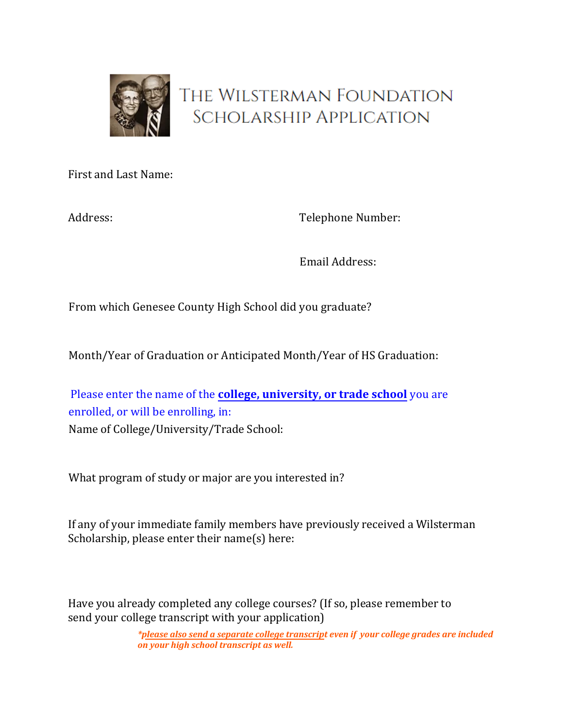

# THE WILSTERMAN FOUNDATION **SCHOLARSHIP APPLICATION**

First and Last Name:

Address:

Telephone Number:

Email Address:

From which Genesee County High School did you graduate?

Month/Year of Graduation or Anticipated Month/Year of HS Graduation:

Please enter the name of the **college, university, or trade school** you are enrolled, or will be enrolling, in: Name of College/University/Trade School:

What program of study or major are you interested in?

If any of your immediate family members have previously received a Wilsterman Scholarship, please enter their name(s) here:

Have you already completed any college courses? (If so, please remember to send your college transcript with your application)

> *\*please also send a separate college transcript even if your college grades are included on your high school transcript as well.*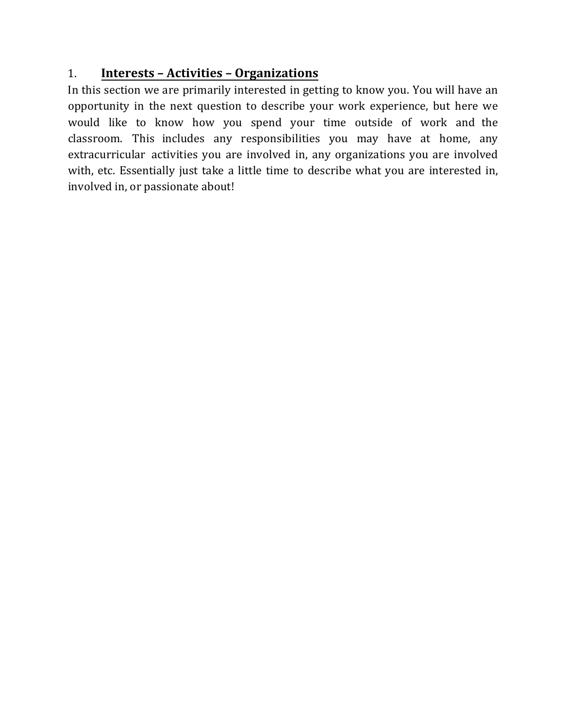# 1. **Interests – Activities – Organizations**

In this section we are primarily interested in getting to know you. You will have an opportunity in the next question to describe your work experience, but here we would like to know how you spend your time outside of work and the classroom. This includes any responsibilities you may have at home, any extracurricular activities you are involved in, any organizations you are involved with, etc. Essentially just take a little time to describe what you are interested in, involved in, or passionate about!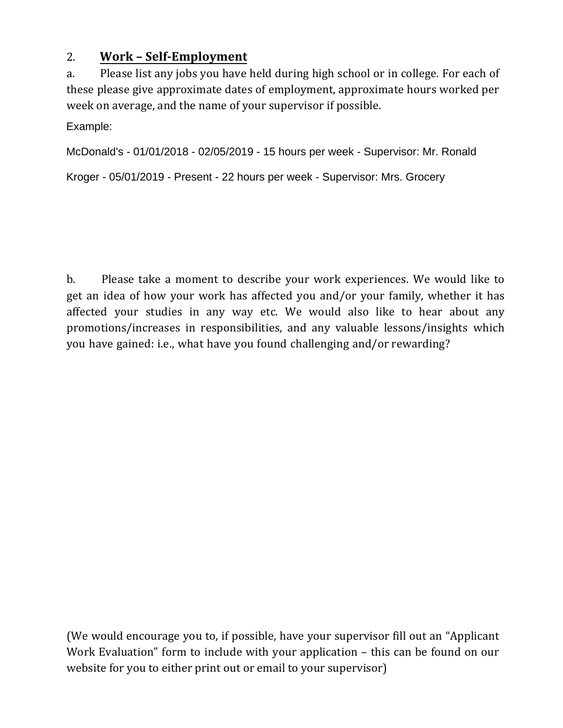# 2. **Work – Self-Employment**

a. Please list any jobs you have held during high school or in college. For each of these please give approximate dates of employment, approximate hours worked per week on average, and the name of your supervisor if possible.

Example:

McDonald's - 01/01/2018 - 02/05/2019 - 15 hours per week - Supervisor: Mr. Ronald

Kroger - 05/01/2019 - Present - 22 hours per week - Supervisor: Mrs. Grocery

b. Please take a moment to describe your work experiences. We would like to get an idea of how your work has affected you and/or your family, whether it has affected your studies in any way etc. We would also like to hear about any promotions/increases in responsibilities, and any valuable lessons/insights which you have gained: i.e., what have you found challenging and/or rewarding?

(We would encourage you to, if possible, have your supervisor fill out an "Applicant Work Evaluation" form to include with your application – this can be found on our website for you to either print out or email to your supervisor)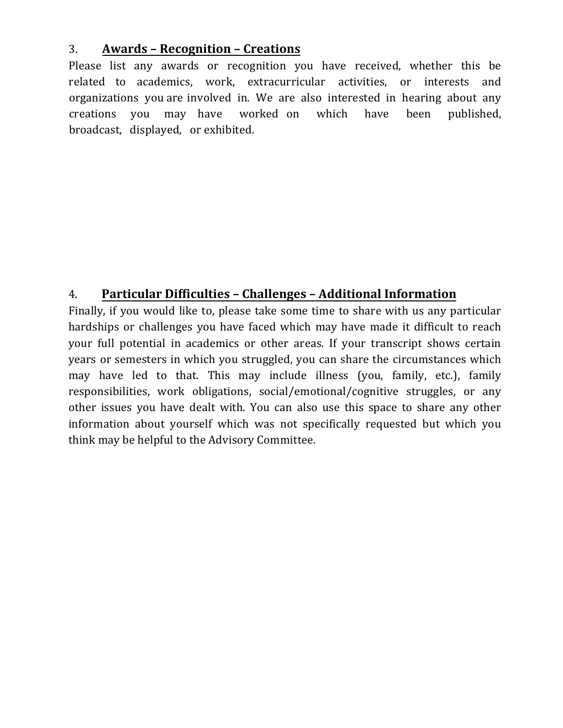### 3. **Awards – Recognition – Creations**

Please list any awards or recognition you have received, whether this be related to academics, work, extracurricular activities, or interests and organizations you are involved in. We are also interested in hearing about any creations you may have worked on which have been published, broadcast, displayed, or exhibited.

# 4. **Particular Difficulties – Challenges – Additional Information**

Finally, if you would like to, please take some time to share with us any particular hardships or challenges you have faced which may have made it difficult to reach your full potential in academics or other areas. If your transcript shows certain years or semesters in which you struggled, you can share the circumstances which may have led to that. This may include illness (you, family, etc.), family responsibilities, work obligations, social/emotional/cognitive struggles, or any other issues you have dealt with. You can also use this space to share any other information about yourself which was not specifically requested but which you think may be helpful to the Advisory Committee.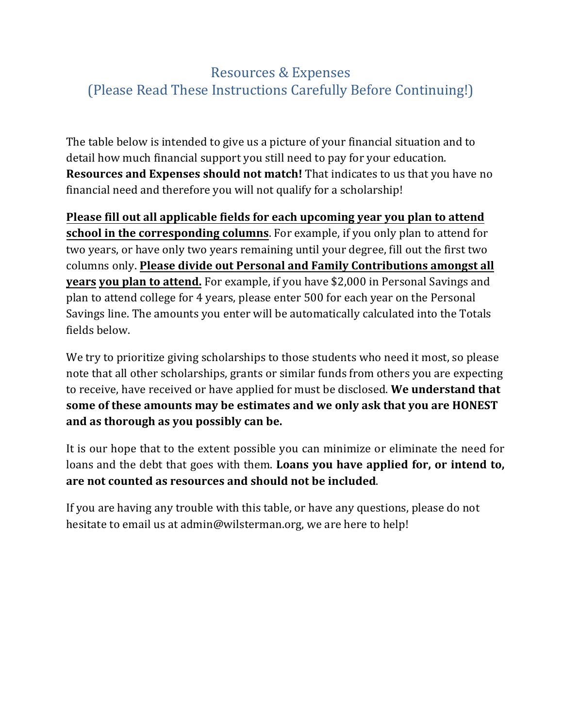# Resources & Expenses (Please Read These Instructions Carefully Before Continuing!)

The table below is intended to give us a picture of your financial situation and to detail how much financial support you still need to pay for your education. **Resources and Expenses should not match!** That indicates to us that you have no financial need and therefore you will not qualify for a scholarship!

**Please fill out all applicable fields for each upcoming year you plan to attend school in the corresponding columns**. For example, if you only plan to attend for two years, or have only two years remaining until your degree, fill out the first two columns only. **Please divide out Personal and Family Contributions amongst all years you plan to attend.** For example, if you have \$2,000 in Personal Savings and plan to attend college for 4 years, please enter 500 for each year on the Personal Savings line. The amounts you enter will be automatically calculated into the Totals fields below.

We try to prioritize giving scholarships to those students who need it most, so please note that all other scholarships, grants or similar funds from others you are expecting to receive, have received or have applied for must be disclosed. **We understand that some of these amounts may be estimates and we only ask that you are HONEST and as thorough as you possibly can be.** 

It is our hope that to the extent possible you can minimize or eliminate the need for loans and the debt that goes with them. **Loans you have applied for, or intend to, are not counted as resources and should not be included**.

If you are having any trouble with this table, or have any questions, please do not hesitate to email us at admin@wilsterman.org, we are here to help!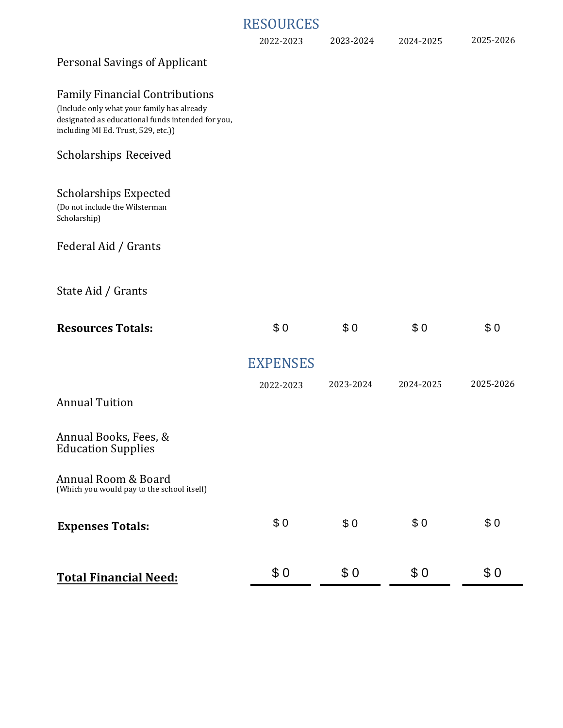### RESOURCES

| 2024-2025 |
|-----------|
|-----------|

#### Personal Savings of Applicant

#### Family Financial Contributions

(Include only what your family has already designated as educational funds intended for you, including MI Ed. Trust, 529, etc.))

#### Scholarships Received

#### Scholarships Expected

(Do not include the Wilsterman Scholarship)

#### Federal Aid / Grants

#### State Aid / Grants

| <b>Resources Totals:</b>                                          | \$0             | \$0       | \$0       | \$0       |
|-------------------------------------------------------------------|-----------------|-----------|-----------|-----------|
|                                                                   | <b>EXPENSES</b> |           |           |           |
|                                                                   | 2022-2023       | 2023-2024 | 2024-2025 | 2025-2026 |
| <b>Annual Tuition</b>                                             |                 |           |           |           |
| Annual Books, Fees, &<br><b>Education Supplies</b>                |                 |           |           |           |
| Annual Room & Board<br>(Which you would pay to the school itself) |                 |           |           |           |
| <b>Expenses Totals:</b>                                           | \$0             | \$0       | \$0       | \$0       |
| <b>Total Financial Need:</b>                                      | \$0             | \$0       | \$0       | \$0       |